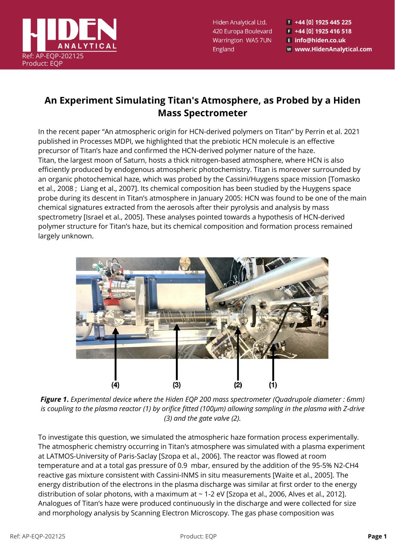

Hiden Analytical Ltd. 420 Europa Boulevard Warrington WA5 7UN England

T +44 [0] 1925 445 225  $F$  +44 [0] 1925 416 518 E info@hiden.co.uk **W** www.HidenAnalytical.com

## **An Experiment Simulating Titan's Atmosphere, as Probed by a Hiden Mass Spectrometer**

In the recent paper "An atmospheric origin for HCN-derived polymers on Titan" by Perrin et al. 2021 published in Processes MDPI, we highlighted that the prebiotic HCN molecule is an effective precursor of Titan's haze and confirmed the HCN-derived polymer nature of the haze. Titan, the largest moon of Saturn, hosts a thick nitrogen-based atmosphere, where HCN is also efficiently produced by endogenous atmospheric photochemistry. Titan is moreover surrounded by an organic photochemical haze, which was probed by the Cassini/Huygens space mission [Tomasko et al., 2008 ; Liang et al., 2007]. Its chemical composition has been studied by the Huygens space probe during its descent in Titan's atmosphere in January 2005: HCN was found to be one of the main chemical signatures extracted from the aerosols after their pyrolysis and analysis by mass spectrometry [Israel et al., 2005]. These analyses pointed towards a hypothesis of HCN-derived polymer structure for Titan's haze, but its chemical composition and formation process remained largely unknown.



*Figure 1***.** *Experimental device where the Hiden EQP 200 mass spectrometer (Quadrupole diameter : 6mm) is coupling to the plasma reactor (1) by orifice fitted (100µm) allowing sampling in the plasma with Z-drive (3) and the gate valve (2).*

To investigate this question, we simulated the atmospheric haze formation process experimentally. The atmospheric chemistry occurring in Titan's atmosphere was simulated with a plasma experiment at LATMOS-University of Paris-Saclay [Szopa et al., 2006]. The reactor was flowed at room temperature and at a total gas pressure of 0.9 mbar, ensured by the addition of the 95-5% N2-CH4 reactive gas mixture consistent with Cassini-INMS in situ measurements [Waite et al., 2005]. The energy distribution of the electrons in the plasma discharge was similar at first order to the energy distribution of solar photons, with a maximum at ~ 1-2 eV [Szopa et al., 2006, Alves et al., 2012]. Analogues of Titan's haze were produced continuously in the discharge and were collected for size and morphology analysis by Scanning Electron Microscopy. The gas phase composition was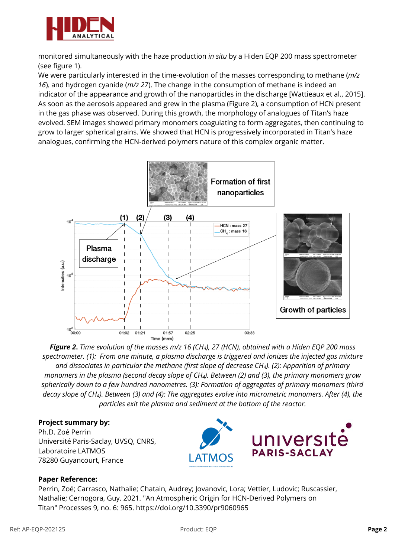

monitored simultaneously with the haze production *in situ* by a Hiden EQP 200 mass spectrometer (see figure 1).

We were particularly interested in the time-evolution of the masses corresponding to methane (*m/z 16*)*,* and hydrogen cyanide (*m/z 27*). The change in the consumption of methane is indeed an indicator of the appearance and growth of the nanoparticles in the discharge [Wattieaux et al., 2015]. As soon as the aerosols appeared and grew in the plasma (Figure 2), a consumption of HCN present in the gas phase was observed. During this growth, the morphology of analogues of Titan's haze evolved. SEM images showed primary monomers coagulating to form aggregates, then continuing to grow to larger spherical grains. We showed that HCN is progressively incorporated in Titan's haze analogues, confirming the HCN-derived polymers nature of this complex organic matter.



*Figure 2***.** *Time evolution of the masses m/z 16 (CH4), 27 (HCN), obtained with a Hiden EQP 200 mass spectrometer. (1): From one minute, a plasma discharge is triggered and ionizes the injected gas mixture and dissociates in particular the methane (first slope of decrease CH4). (2): Apparition of primary monomers in the plasma (second decay slope of CH4). Between (2) and (3), the primary monomers grow spherically down to a few hundred nanometres. (3): Formation of aggregates of primary monomers (third decay slope of CH4). Between (3) and (4): The aggregates evolve into micrometric monomers. After (4), the particles exit the plasma and sediment at the bottom of the reactor.*

## **Project summary by:**

Ph.D. Zoé Perrin Université Paris-Saclay, UVSQ, CNRS, Laboratoire LATMOS 78280 Guyancourt, France



## **Paper Reference:**

Perrin, Zoé; Carrasco, Nathalie; Chatain, Audrey; Jovanovic, Lora; Vettier, Ludovic; Ruscassier, Nathalie; Cernogora, Guy. 2021. "An Atmospheric Origin for HCN-Derived Polymers on Titan" Processes 9, no. 6: 965. https://doi.org/10.3390/pr9060965